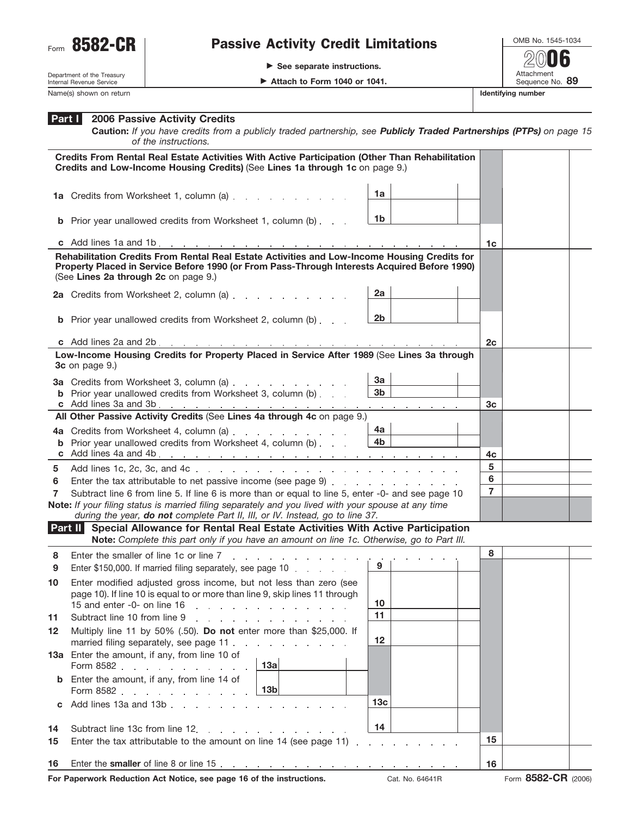

## Form 8582-CR | Passive Activity Credit Limitations

- **See separate instructions.**

OMB No. 1545-1034 Attachment<br>Sequence No. 89 **Example 2 Attach to Form 1040 or 1041.** Sequence No. 89 **2006**

Department of the Treasury Internal Revenue Service Name(s) shown on return **Identifying number Identifying number Identifying number** 

| . Attach to Form 1040 or 1041 |  |  |  |
|-------------------------------|--|--|--|

## **2006 Passive Activity Credits Part I**

**Caution:** *If you have credits from a publicly traded partnership, see Publicly Traded Partnerships (PTPs) on page 15 of the instructions.*

|    | Credits From Rental Real Estate Activities With Active Participation (Other Than Rehabilitation<br>Credits and Low-Income Housing Credits) (See Lines 1a through 1c on page 9.)                                                      |                 |                |  |
|----|--------------------------------------------------------------------------------------------------------------------------------------------------------------------------------------------------------------------------------------|-----------------|----------------|--|
|    | 1a Credits from Worksheet 1, column (a)                                                                                                                                                                                              | 1a              |                |  |
|    | <b>b</b> Prior year unallowed credits from Worksheet 1, column (b)                                                                                                                                                                   | 1b              |                |  |
|    |                                                                                                                                                                                                                                      |                 | 1c             |  |
|    | Rehabilitation Credits From Rental Real Estate Activities and Low-Income Housing Credits for<br>Property Placed in Service Before 1990 (or From Pass-Through Interests Acquired Before 1990)<br>(See Lines 2a through 2c on page 9.) |                 |                |  |
|    | 2a Credits from Worksheet 2, column (a)                                                                                                                                                                                              | 2a              |                |  |
|    | <b>b</b> Prior year unallowed credits from Worksheet 2, column (b)                                                                                                                                                                   | 2b              |                |  |
|    |                                                                                                                                                                                                                                      |                 | 2c             |  |
|    | Low-Income Housing Credits for Property Placed in Service After 1989 (See Lines 3a through<br>3c on page 9.)                                                                                                                         |                 |                |  |
|    | 3a Credits from Worksheet 3, column (a)                                                                                                                                                                                              | За              |                |  |
|    | <b>b</b> Prior year unallowed credits from Worksheet 3, column (b)                                                                                                                                                                   | 3 <sub>b</sub>  | 3c             |  |
|    | All Other Passive Activity Credits (See Lines 4a through 4c on page 9.)                                                                                                                                                              |                 |                |  |
|    | 4a Credits from Worksheet 4, column (a) example 2 and Credits from Worksheet 4, column (a)                                                                                                                                           | 4a              |                |  |
|    | <b>b</b> Prior year unallowed credits from Worksheet 4, column (b)                                                                                                                                                                   | 4b              |                |  |
|    |                                                                                                                                                                                                                                      |                 | 4c             |  |
| 5  |                                                                                                                                                                                                                                      | 5<br>6          |                |  |
| 6  |                                                                                                                                                                                                                                      |                 | $\overline{7}$ |  |
| 7  | Subtract line 6 from line 5. If line 6 is more than or equal to line 5, enter -0- and see page 10<br>Note: If your filing status is married filing separately and you lived with your spouse at any time                             |                 |                |  |
|    | during the year, do not complete Part II, III, or IV. Instead, go to line 37.                                                                                                                                                        |                 |                |  |
|    | Part II Special Allowance for Rental Real Estate Activities With Active Participation<br>Note: Complete this part only if you have an amount on line 1c. Otherwise, go to Part III.                                                  |                 |                |  |
| 8  | Enter the smaller of line 1c or line 7                                                                                                                                                                                               |                 | 8              |  |
| 9  | the contract of the contract of the contract of the contract of the contract of the contract of the contract of<br>Enter \$150,000. If married filing separately, see page 10                                                        | 9               |                |  |
| 10 | Enter modified adjusted gross income, but not less than zero (see<br>page 10). If line 10 is equal to or more than line 9, skip lines 11 through<br>15 and enter -0- on line 16                                                      | 10              |                |  |
| 11 | Subtract line 10 from line 9<br>design and a state of the state                                                                                                                                                                      | 11              |                |  |
| 12 | Multiply line 11 by 50% (.50). Do not enter more than \$25,000. If<br>married filing separately, see page 11                                                                                                                         | 12              |                |  |
|    | 13a Enter the amount, if any, from line 10 of<br>13a<br>Form 8582                                                                                                                                                                    |                 |                |  |
|    | Enter the amount, if any, from line 14 of<br>13 <sub>b</sub><br>Form 8582                                                                                                                                                            |                 |                |  |
| C  | Add lines 13a and 13b<br><b>Carl Corporation</b>                                                                                                                                                                                     | 13 <sub>c</sub> |                |  |
| 14 | Subtract line 13c from line 12.                                                                                                                                                                                                      | 14              |                |  |
| 15 | and the company of the company of<br>Enter the tax attributable to the amount on line 14 (see page 11)<br>and a strategic and a                                                                                                      |                 |                |  |
| 16 |                                                                                                                                                                                                                                      |                 |                |  |
|    |                                                                                                                                                                                                                                      |                 |                |  |

**For Paperwork Reduction Act Notice, see page 16 of the instructions.** Cat. No. 64641R Form 8582-CR (2006)